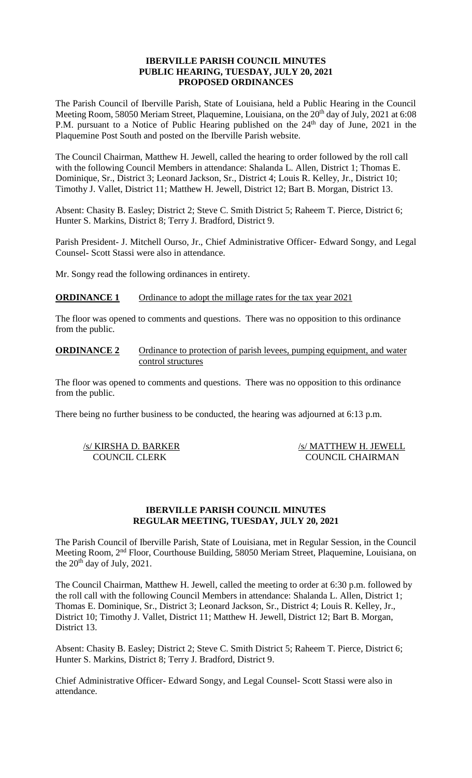### **IBERVILLE PARISH COUNCIL MINUTES PUBLIC HEARING, TUESDAY, JULY 20, 2021 PROPOSED ORDINANCES**

The Parish Council of Iberville Parish, State of Louisiana, held a Public Hearing in the Council Meeting Room, 58050 Meriam Street, Plaquemine, Louisiana, on the 20<sup>th</sup> day of July, 2021 at 6:08 P.M. pursuant to a Notice of Public Hearing published on the  $24<sup>th</sup>$  day of June, 2021 in the Plaquemine Post South and posted on the Iberville Parish website.

The Council Chairman, Matthew H. Jewell, called the hearing to order followed by the roll call with the following Council Members in attendance: Shalanda L. Allen, District 1; Thomas E. Dominique, Sr., District 3; Leonard Jackson, Sr., District 4; Louis R. Kelley, Jr., District 10; Timothy J. Vallet, District 11; Matthew H. Jewell, District 12; Bart B. Morgan, District 13.

Absent: Chasity B. Easley; District 2; Steve C. Smith District 5; Raheem T. Pierce, District 6; Hunter S. Markins, District 8; Terry J. Bradford, District 9.

Parish President- J. Mitchell Ourso, Jr., Chief Administrative Officer- Edward Songy, and Legal Counsel- Scott Stassi were also in attendance.

Mr. Songy read the following ordinances in entirety.

# **ORDINANCE 1** Ordinance to adopt the millage rates for the tax year 2021

The floor was opened to comments and questions. There was no opposition to this ordinance from the public.

**ORDINANCE 2** Ordinance to protection of parish levees, pumping equipment, and water control structures

The floor was opened to comments and questions. There was no opposition to this ordinance from the public.

There being no further business to be conducted, the hearing was adjourned at 6:13 p.m.

/s/ KIRSHA D. BARKER /s/ MATTHEW H. JEWELL COUNCIL CLERK COUNCIL CHAIRMAN

# **IBERVILLE PARISH COUNCIL MINUTES REGULAR MEETING, TUESDAY, JULY 20, 2021**

The Parish Council of Iberville Parish, State of Louisiana, met in Regular Session, in the Council Meeting Room, 2nd Floor, Courthouse Building, 58050 Meriam Street, Plaquemine, Louisiana, on the  $20<sup>th</sup>$  day of July, 2021.

The Council Chairman, Matthew H. Jewell, called the meeting to order at 6:30 p.m. followed by the roll call with the following Council Members in attendance: Shalanda L. Allen, District 1; Thomas E. Dominique, Sr., District 3; Leonard Jackson, Sr., District 4; Louis R. Kelley, Jr., District 10; Timothy J. Vallet, District 11; Matthew H. Jewell, District 12; Bart B. Morgan, District 13.

Absent: Chasity B. Easley; District 2; Steve C. Smith District 5; Raheem T. Pierce, District 6; Hunter S. Markins, District 8; Terry J. Bradford, District 9.

Chief Administrative Officer- Edward Songy, and Legal Counsel- Scott Stassi were also in attendance.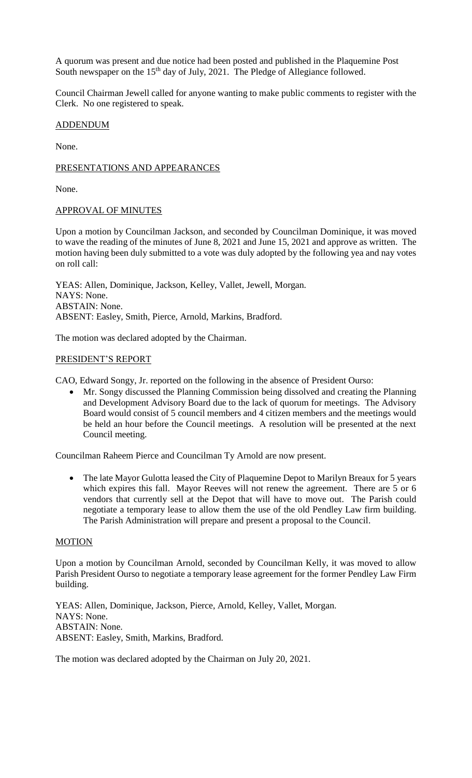A quorum was present and due notice had been posted and published in the Plaquemine Post South newspaper on the 15<sup>th</sup> day of July, 2021. The Pledge of Allegiance followed.

Council Chairman Jewell called for anyone wanting to make public comments to register with the Clerk. No one registered to speak.

# ADDENDUM

None.

# PRESENTATIONS AND APPEARANCES

None.

#### APPROVAL OF MINUTES

Upon a motion by Councilman Jackson, and seconded by Councilman Dominique, it was moved to wave the reading of the minutes of June 8, 2021 and June 15, 2021 and approve as written. The motion having been duly submitted to a vote was duly adopted by the following yea and nay votes on roll call:

YEAS: Allen, Dominique, Jackson, Kelley, Vallet, Jewell, Morgan. NAYS: None. ABSTAIN: None. ABSENT: Easley, Smith, Pierce, Arnold, Markins, Bradford.

The motion was declared adopted by the Chairman.

#### PRESIDENT'S REPORT

CAO, Edward Songy, Jr. reported on the following in the absence of President Ourso:

• Mr. Songy discussed the Planning Commission being dissolved and creating the Planning and Development Advisory Board due to the lack of quorum for meetings. The Advisory Board would consist of 5 council members and 4 citizen members and the meetings would be held an hour before the Council meetings. A resolution will be presented at the next Council meeting.

Councilman Raheem Pierce and Councilman Ty Arnold are now present.

• The late Mayor Gulotta leased the City of Plaquemine Depot to Marilyn Breaux for 5 years which expires this fall. Mayor Reeves will not renew the agreement. There are 5 or 6 vendors that currently sell at the Depot that will have to move out. The Parish could negotiate a temporary lease to allow them the use of the old Pendley Law firm building. The Parish Administration will prepare and present a proposal to the Council.

# MOTION

Upon a motion by Councilman Arnold, seconded by Councilman Kelly, it was moved to allow Parish President Ourso to negotiate a temporary lease agreement for the former Pendley Law Firm building.

YEAS: Allen, Dominique, Jackson, Pierce, Arnold, Kelley, Vallet, Morgan. NAYS: None. ABSTAIN: None. ABSENT: Easley, Smith, Markins, Bradford.

The motion was declared adopted by the Chairman on July 20, 2021.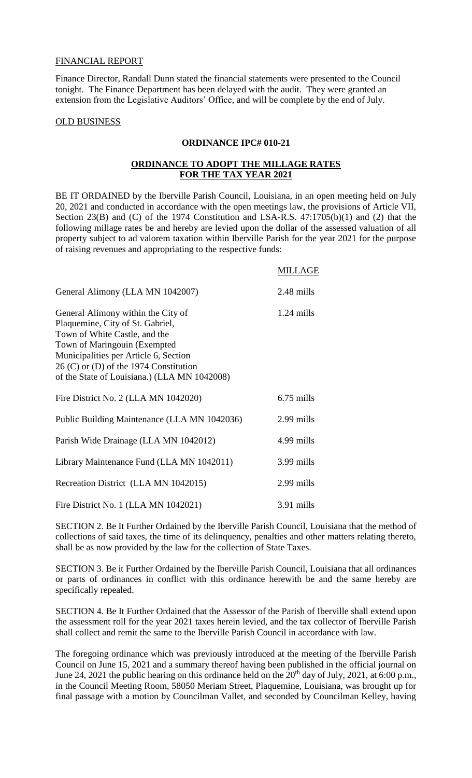#### FINANCIAL REPORT

Finance Director, Randall Dunn stated the financial statements were presented to the Council tonight. The Finance Department has been delayed with the audit. They were granted an extension from the Legislative Auditors' Office, and will be complete by the end of July.

#### OLD BUSINESS

#### **ORDINANCE IPC# 010-21**

# **ORDINANCE TO ADOPT THE MILLAGE RATES FOR THE TAX YEAR 2021**

BE IT ORDAINED by the Iberville Parish Council, Louisiana, in an open meeting held on July 20, 2021 and conducted in accordance with the open meetings law, the provisions of Article VII, Section 23(B) and (C) of the 1974 Constitution and LSA-R.S. 47:1705(b)(1) and (2) that the following millage rates be and hereby are levied upon the dollar of the assessed valuation of all property subject to ad valorem taxation within Iberville Parish for the year 2021 for the purpose of raising revenues and appropriating to the respective funds:

|--|

| General Alimony (LLA MN 1042007)                                                                                                                                                                                                                                             | 2.48 mills   |
|------------------------------------------------------------------------------------------------------------------------------------------------------------------------------------------------------------------------------------------------------------------------------|--------------|
| General Alimony within the City of<br>Plaquemine, City of St. Gabriel,<br>Town of White Castle, and the<br>Town of Maringouin (Exempted<br>Municipalities per Article 6, Section<br>$26$ (C) or (D) of the 1974 Constitution<br>of the State of Louisiana.) (LLA MN 1042008) | $1.24$ mills |
| Fire District No. 2 (LLA MN 1042020)                                                                                                                                                                                                                                         | $6.75$ mills |
| Public Building Maintenance (LLA MN 1042036)                                                                                                                                                                                                                                 | 2.99 mills   |
| Parish Wide Drainage (LLA MN 1042012)                                                                                                                                                                                                                                        | 4.99 mills   |
| Library Maintenance Fund (LLA MN 1042011)                                                                                                                                                                                                                                    | 3.99 mills   |
| Recreation District (LLA MN 1042015)                                                                                                                                                                                                                                         | 2.99 mills   |
| Fire District No. 1 (LLA MN 1042021)                                                                                                                                                                                                                                         | 3.91 mills   |

SECTION 2. Be It Further Ordained by the Iberville Parish Council, Louisiana that the method of collections of said taxes, the time of its delinquency, penalties and other matters relating thereto, shall be as now provided by the law for the collection of State Taxes.

SECTION 3. Be it Further Ordained by the Iberville Parish Council, Louisiana that all ordinances or parts of ordinances in conflict with this ordinance herewith be and the same hereby are specifically repealed.

SECTION 4. Be It Further Ordained that the Assessor of the Parish of Iberville shall extend upon the assessment roll for the year 2021 taxes herein levied, and the tax collector of Iberville Parish shall collect and remit the same to the Iberville Parish Council in accordance with law.

The foregoing ordinance which was previously introduced at the meeting of the Iberville Parish Council on June 15, 2021 and a summary thereof having been published in the official journal on June 24, 2021 the public hearing on this ordinance held on the 20<sup>th</sup> day of July, 2021, at 6:00 p.m., in the Council Meeting Room, 58050 Meriam Street, Plaquemine, Louisiana, was brought up for final passage with a motion by Councilman Vallet, and seconded by Councilman Kelley, having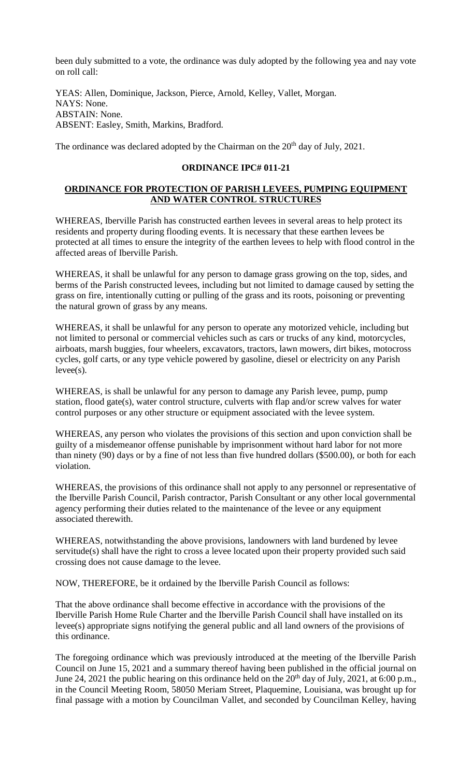been duly submitted to a vote, the ordinance was duly adopted by the following yea and nay vote on roll call:

YEAS: Allen, Dominique, Jackson, Pierce, Arnold, Kelley, Vallet, Morgan. NAYS: None. ABSTAIN: None. ABSENT: Easley, Smith, Markins, Bradford.

The ordinance was declared adopted by the Chairman on the 20<sup>th</sup> day of July, 2021.

# **ORDINANCE IPC# 011-21**

# **ORDINANCE FOR PROTECTION OF PARISH LEVEES, PUMPING EQUIPMENT AND WATER CONTROL STRUCTURES**

WHEREAS, Iberville Parish has constructed earthen levees in several areas to help protect its residents and property during flooding events. It is necessary that these earthen levees be protected at all times to ensure the integrity of the earthen levees to help with flood control in the affected areas of Iberville Parish.

WHEREAS, it shall be unlawful for any person to damage grass growing on the top, sides, and berms of the Parish constructed levees, including but not limited to damage caused by setting the grass on fire, intentionally cutting or pulling of the grass and its roots, poisoning or preventing the natural grown of grass by any means.

WHEREAS, it shall be unlawful for any person to operate any motorized vehicle, including but not limited to personal or commercial vehicles such as cars or trucks of any kind, motorcycles, airboats, marsh buggies, four wheelers, excavators, tractors, lawn mowers, dirt bikes, motocross cycles, golf carts, or any type vehicle powered by gasoline, diesel or electricity on any Parish levee(s).

WHEREAS, is shall be unlawful for any person to damage any Parish levee, pump, pump station, flood gate(s), water control structure, culverts with flap and/or screw valves for water control purposes or any other structure or equipment associated with the levee system.

WHEREAS, any person who violates the provisions of this section and upon conviction shall be guilty of a misdemeanor offense punishable by imprisonment without hard labor for not more than ninety (90) days or by a fine of not less than five hundred dollars (\$500.00), or both for each violation.

WHEREAS, the provisions of this ordinance shall not apply to any personnel or representative of the Iberville Parish Council, Parish contractor, Parish Consultant or any other local governmental agency performing their duties related to the maintenance of the levee or any equipment associated therewith.

WHEREAS, notwithstanding the above provisions, landowners with land burdened by levee servitude(s) shall have the right to cross a levee located upon their property provided such said crossing does not cause damage to the levee.

NOW, THEREFORE, be it ordained by the Iberville Parish Council as follows:

That the above ordinance shall become effective in accordance with the provisions of the Iberville Parish Home Rule Charter and the Iberville Parish Council shall have installed on its levee(s) appropriate signs notifying the general public and all land owners of the provisions of this ordinance.

The foregoing ordinance which was previously introduced at the meeting of the Iberville Parish Council on June 15, 2021 and a summary thereof having been published in the official journal on June 24, 2021 the public hearing on this ordinance held on the  $20<sup>th</sup>$  day of July, 2021, at 6:00 p.m., in the Council Meeting Room, 58050 Meriam Street, Plaquemine, Louisiana, was brought up for final passage with a motion by Councilman Vallet, and seconded by Councilman Kelley, having